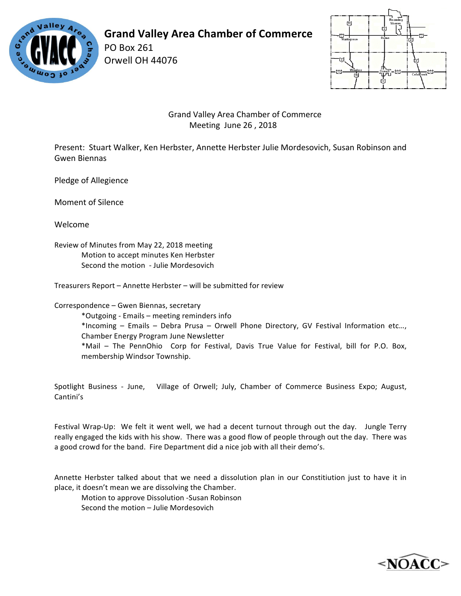

## **Grand Valley Area Chamber of Commerce**

PO Box 261 Orwell OH 44076



 Grand Valley Area Chamber of Commerce Meeting June 26, 2018

Present: Stuart Walker, Ken Herbster, Annette Herbster Julie Mordesovich, Susan Robinson and Gwen Biennas

Pledge of Allegience

Moment of Silence

Welcome

Review of Minutes from May 22, 2018 meeting Motion to accept minutes Ken Herbster Second the motion - Julie Mordesovich

Treasurers Report – Annette Herbster – will be submitted for review

Correspondence - Gwen Biennas, secretary

\*Outgoing - Emails – meeting reminders info \*Incoming – Emails – Debra Prusa – Orwell Phone Directory, GV Festival Information etc..., Chamber Energy Program June Newsletter \*Mail - The PennOhio Corp for Festival, Davis True Value for Festival, bill for P.O. Box, membership Windsor Township.

Spotlight Business - June, Village of Orwell; July, Chamber of Commerce Business Expo; August, Cantini's

Festival Wrap-Up: We felt it went well, we had a decent turnout through out the day. Jungle Terry really engaged the kids with his show. There was a good flow of people through out the day. There was a good crowd for the band. Fire Department did a nice job with all their demo's.

Annette Herbster talked about that we need a dissolution plan in our Constitiution just to have it in place, it doesn't mean we are dissolving the Chamber.

Motion to approve Dissolution -Susan Robinson Second the motion – Julie Mordesovich

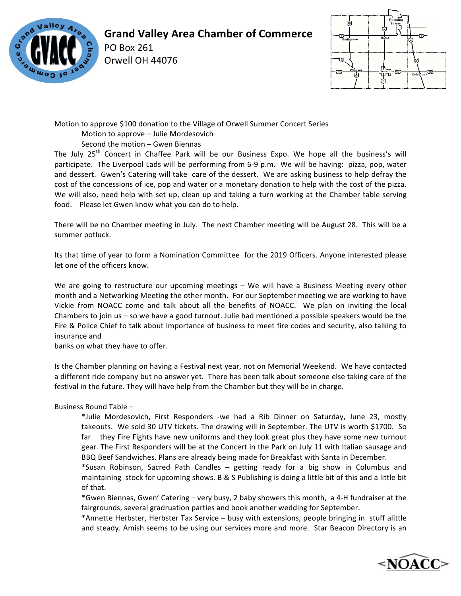

## **Grand Valley Area Chamber of Commerce**

PO Box 261 Orwell OH 44076



Motion to approve \$100 donation to the Village of Orwell Summer Concert Series

Motion to approve - Julie Mordesovich

Second the motion - Gwen Biennas

The July  $25<sup>th</sup>$  Concert in Chaffee Park will be our Business Expo. We hope all the business's will participate. The Liverpool Lads will be performing from 6-9 p.m. We will be having: pizza, pop, water and dessert. Gwen's Catering will take care of the dessert. We are asking business to help defray the cost of the concessions of ice, pop and water or a monetary donation to help with the cost of the pizza. We will also, need help with set up, clean up and taking a turn working at the Chamber table serving food. Please let Gwen know what you can do to help.

There will be no Chamber meeting in July. The next Chamber meeting will be August 28. This will be a summer potluck.

Its that time of year to form a Nomination Committee for the 2019 Officers. Anyone interested please let one of the officers know.

We are going to restructure our upcoming meetings – We will have a Business Meeting every other month and a Networking Meeting the other month. For our September meeting we are working to have Vickie from NOACC come and talk about all the benefits of NOACC. We plan on inviting the local Chambers to join us  $-$  so we have a good turnout. Julie had mentioned a possible speakers would be the Fire & Police Chief to talk about importance of business to meet fire codes and security, also talking to insurance and 

banks on what they have to offer.

Is the Chamber planning on having a Festival next year, not on Memorial Weekend. We have contacted a different ride company but no answer yet. There has been talk about someone else taking care of the festival in the future. They will have help from the Chamber but they will be in charge.

Business Round Table -

\*Julie Mordesovich, First Responders -we had a Rib Dinner on Saturday, June 23, mostly takeouts. We sold 30 UTV tickets. The drawing will in September. The UTV is worth \$1700. So far they Fire Fights have new uniforms and they look great plus they have some new turnout gear. The First Responders will be at the Concert in the Park on July 11 with Italian sausage and BBQ Beef Sandwiches. Plans are already being made for Breakfast with Santa in December.

\*Susan Robinson, Sacred Path Candles – getting ready for a big show in Columbus and maintaining stock for upcoming shows. B & S Publishing is doing a little bit of this and a little bit of that.

\*Gwen Biennas, Gwen' Catering – very busy, 2 baby showers this month, a 4-H fundraiser at the fairgrounds, several gradruation parties and book another wedding for September.

\*Annette Herbster, Herbster Tax Service - busy with extensions, people bringing in stuff alittle and steady. Amish seems to be using our services more and more. Star Beacon Directory is an